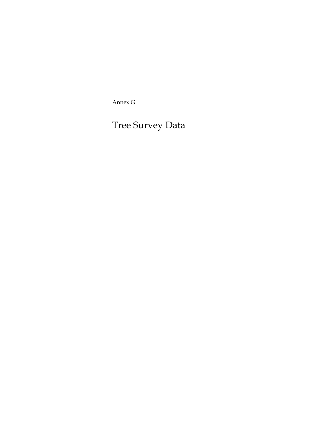Annex G

Tree Survey Data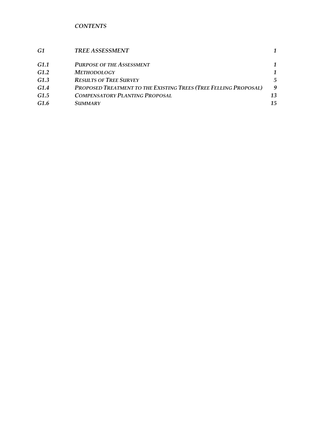*CONTENTS* 

| G1               | <b>TREE ASSESSMENT</b>                                           |    |
|------------------|------------------------------------------------------------------|----|
| G1.1             | <b>PURPOSE OF THE ASSESSMENT</b>                                 |    |
| G <sub>1.2</sub> | <b>METHODOLOGY</b>                                               |    |
| G1.3             | <b>RESULTS OF TREE SURVEY</b>                                    | 5  |
| G1.4             | PROPOSED TREATMENT TO THE EXISTING TREES (TREE FELLING PROPOSAL) | -9 |
| G <sub>1.5</sub> | <b>COMPENSATORY PLANTING PROPOSAL</b>                            | 13 |
| G1.6             | <i>SUMMARY</i>                                                   | 15 |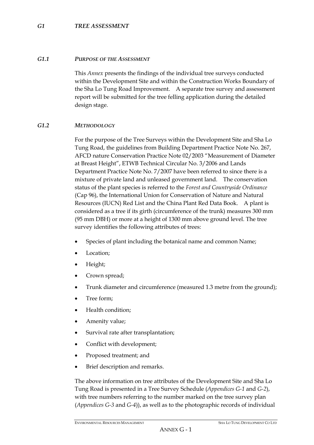#### *G1.1 PURPOSE OF THE ASSESSMENT*

This *Annex* presents the findings of the individual tree surveys conducted within the Development Site and within the Construction Works Boundary of the Sha Lo Tung Road Improvement. A separate tree survey and assessment report will be submitted for the tree felling application during the detailed design stage.

#### *G1.2 METHODOLOGY*

For the purpose of the Tree Surveys within the Development Site and Sha Lo Tung Road, the guidelines from Building Department Practice Note No. 267, AFCD nature Conservation Practice Note 02/2003 "Measurement of Diameter at Breast Height", ETWB Technical Circular No. 3/2006 and Lands Department Practice Note No. 7/2007 have been referred to since there is a mixture of private land and unleased government land. The conservation status of the plant species is referred to the *Forest and Countryside Ordinance* (Cap 96), the International Union for Conservation of Nature and Natural Resources (IUCN) Red List and the China Plant Red Data Book. A plant is considered as a tree if its girth (circumference of the trunk) measures 300 mm (95 mm DBH) or more at a height of 1300 mm above ground level. The tree survey identifies the following attributes of trees:

- Species of plant including the botanical name and common Name;
- Location:
- Height;
- Crown spread;
- Trunk diameter and circumference (measured 1.3 metre from the ground);
- Tree form:
- Health condition;
- Amenity value;
- Survival rate after transplantation;
- Conflict with development;
- Proposed treatment; and
- Brief description and remarks.

The above information on tree attributes of the Development Site and Sha Lo Tung Road is presented in a Tree Survey Schedule (*Appendices G-1* and *G-2*), with tree numbers referring to the number marked on the tree survey plan (*Appendices G-3* and *G-4*)), as well as to the photographic records of individual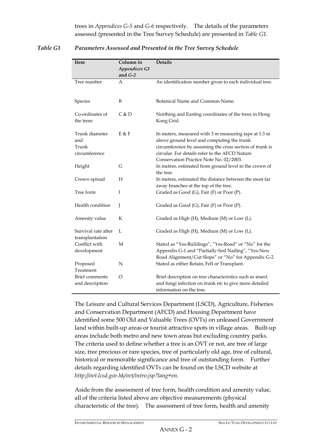trees in *Appendices G-5* and *G-6* respectively. The details of the parameters assessed (presented in the Tree Survey Schedule) are presented in *Table G1*.

| Item                                            | Column in<br><b>Appendices G1</b><br>and $G-2$ | <b>Details</b>                                                                                                                                                                                                                                             |
|-------------------------------------------------|------------------------------------------------|------------------------------------------------------------------------------------------------------------------------------------------------------------------------------------------------------------------------------------------------------------|
| Tree number                                     | А                                              | An identification number given to each individual tree.                                                                                                                                                                                                    |
| Species                                         | B                                              | Botanical Name and Common Name.                                                                                                                                                                                                                            |
| Co-ordinates of<br>the trees                    | C & D                                          | Northing and Easting coordinates of the trees in Hong<br>Kong Grid.                                                                                                                                                                                        |
| Trunk diameter<br>and<br>Trunk<br>circumference | E & F                                          | In meters, measured with 3 m measuring tape at 1.3 m<br>above ground level and computing the trunk<br>circumference by assuming the cross section of trunk is<br>circular. For details refer to the AFCD Nature<br>Conservation Practice Note No. 02/2003. |
| Height                                          | G                                              | In metres, estimated from ground level to the crown of<br>the tree.                                                                                                                                                                                        |
| Crown spread                                    | Н                                              | In metres, estimated the distance between the most far<br>away branches at the top of the tree.                                                                                                                                                            |
| Tree form                                       | I                                              | Graded as Good (G), Fair (F) or Poor (P).                                                                                                                                                                                                                  |
| Health condition                                | J                                              | Graded as Good (G), Fair (F) or Poor (P).                                                                                                                                                                                                                  |
| Amenity value                                   | K                                              | Graded as High (H), Medium (M) or Low (L).                                                                                                                                                                                                                 |
| Survival rate after<br>transplantation          | L                                              | Graded as High (H), Medium (M) or Low (L).                                                                                                                                                                                                                 |
| Conflict with<br>development                    | М                                              | Stated as "Yes-Buildings", "Yes-Road" or "No" for the<br>Appendix G-1 and "Partially-Soil Nailing", "Yes-New<br>Road Alignment/Cut Slope" or "No" for Appendix G-2                                                                                         |
| Proposed<br>Treatment                           | N                                              | Stated as either Retain, Fell or Transplant.                                                                                                                                                                                                               |
| <b>Brief</b> comments<br>and description        | $\Omega$                                       | Brief description on tree characteristics such as insect<br>and fungi infection on trunk etc to give more detailed<br>information on the tree.                                                                                                             |

## *Table G1 Parameters Assessed and Presented in the Tree Survey Schedule*

The Leisure and Cultural Services Department (LSCD), Agriculture, Fisheries and Conservation Department (AFCD) and Housing Department have identified some 500 Old and Valuable Trees (OVTs) on unleased Government land within built-up areas or tourist attractive spots in village areas. Built-up areas include both metro and new town areas but excluding country parks. The criteria used to define whether a tree is an OVT or not, are tree of large size, tree precious or rare species, tree of particularly old age, tree of cultural, historical or memorable significance and tree of outstanding form. Further details regarding identified OVTs can be found on the LSCD website at *http://ovt.lcsd.gov.hk/ovt/intro.jsp?lang=en*.

Aside from the assessment of tree form, health condition and amenity value, all of the criteria listed above are objective measurements (physical characteristic of the tree). The assessment of tree form, health and amenity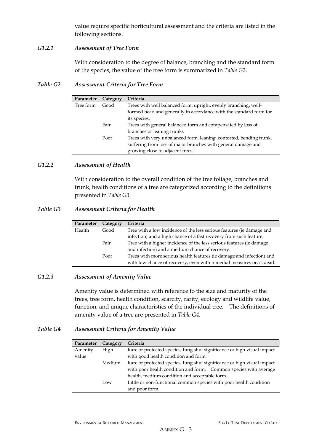value require specific horticultural assessment and the criteria are listed in the following sections.

#### *G1.2.1 Assessment of Tree Form*

With consideration to the degree of balance, branching and the standard form of the species, the value of the tree form is summarized in *Table G2*.

*Table G2 Assessment Criteria for Tree Form* 

| Parameter | Category | Criteria                                                            |
|-----------|----------|---------------------------------------------------------------------|
| Tree form | Good     | Trees with well balanced form, upright, evenly branching, well-     |
|           |          | formed head and generally in accordance with the standard form for  |
|           |          | its species.                                                        |
|           | Fair     | Trees with general balanced form and compensated by loss of         |
|           |          | branches or leaning trunks                                          |
|           | Poor     | Trees with very unbalanced form, leaning, contorted, bending trunk, |
|           |          | suffering from loss of major branches with general damage and       |
|           |          | growing close to adjacent trees.                                    |
|           |          |                                                                     |

#### *G1.2.2 Assessment of Health*

With consideration to the overall condition of the tree foliage, branches and trunk, health conditions of a tree are categorized according to the definitions presented in *Table G3*.

#### *Table G3 Assessment Criteria for Health*

| Parameter | Category | Criteria                                                              |
|-----------|----------|-----------------------------------------------------------------------|
| Health    | Good     | Tree with a low incidence of the less serious features (ie damage and |
|           |          | infection) and a high chance of a fast recovery from such feature.    |
|           | Fair     | Tree with a higher incidence of the less serious features (ie damage  |
|           |          | and infection) and a medium chance of recovery.                       |
|           | Poor     | Trees with more serious health features (ie damage and infection) and |
|           |          | with low chance of recovery, even with remedial measures or, is dead. |

## *G1.2.3 Assessment of Amenity Value*

Amenity value is determined with reference to the size and maturity of the trees, tree form, health condition, scarcity, rarity, ecology and wildlife value, function, and unique characteristics of the individual tree. The definitions of amenity value of a tree are presented in *Table G4*.

## *Table G4 Assessment Criteria for Amenity Value*

| Parameter | Category | Criteria                                                                |  |  |  |
|-----------|----------|-------------------------------------------------------------------------|--|--|--|
| Amenity   | High     | Rare or protected species, fung shui significance or high visual impact |  |  |  |
| value     |          | with good health condition and form.                                    |  |  |  |
|           | Medium   | Rare or protected species, fung shui significance or high visual impact |  |  |  |
|           |          | with poor health condition and form. Common species with average        |  |  |  |
|           |          | health, medium condition and acceptable form.                           |  |  |  |
|           | Low      | Little or non-functional common species with poor health condition      |  |  |  |
|           |          | and poor form.                                                          |  |  |  |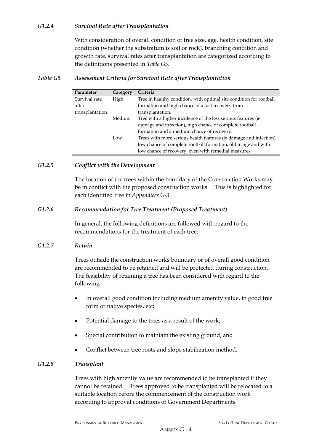## *G1.2.4 Survival Rate after Transplantation*

With consideration of overall condition of tree size, age, health condition, site condition (whether the substratum is soil or rock), branching condition and growth rate, survival rates after transplantation are categorized according to the definitions presented in *Table G5*.

## *Table G5 Assessment Criteria for Survival Rate after Transplantation*

| Parameter       | Category | Criteria                                                            |
|-----------------|----------|---------------------------------------------------------------------|
| Survival rate   | High     | Tree in healthy condition, with optimal site condition for rootball |
| after           |          | formation and high chance of a fast recovery from                   |
| transplantation |          | transplantation.                                                    |
|                 | Medium   | Tree with a higher incidence of the less serious features (ie       |
|                 |          | damage and infection), high chance of complete rootball             |
|                 |          | formation and a medium chance of recovery.                          |
|                 | Low      | Trees with more serious health features (ie damage and infection),  |
|                 |          | low chance of complete rootball formation, old in age and with      |
|                 |          | low chance of recovery, even with remedial measures.                |

#### *G1.2.5 Conflict with the Development*

The location of the trees within the boundary of the Construction Works may be in conflict with the proposed construction works. This is highlighted for each identified tree in *Appendices G-3*.

#### *G1.2.6 Recommendation for Tree Treatment (Proposed Treatment)*

In general, the following definitions are followed with regard to the recommendations for the treatment of each tree:

#### *G1.2.7 Retain*

Trees outside the construction works boundary or of overall good condition are recommended to be retained and will be protected during construction. The feasibility of retaining a tree has been considered with regard to the following:

- In overall good condition including medium amenity value, in good tree form or native species, etc;
- Potential damage to the trees as a result of the work;
- Special contribution to maintain the existing ground; and
- Conflict between tree roots and slope stabilization method.

#### *G1.2.8 Transplant*

Trees with high amenity value are recommended to be transplanted if they cannot be retained. Trees approved to be transplanted will be relocated to a suitable location before the commencement of the construction work according to approval conditions of Government Departments.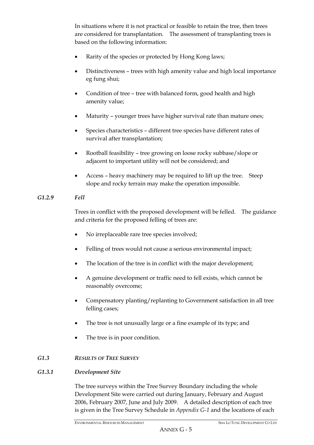In situations where it is not practical or feasible to retain the tree, then trees are considered for transplantation. The assessment of transplanting trees is based on the following information:

- Rarity of the species or protected by Hong Kong laws;
- Distinctiveness trees with high amenity value and high local importance eg fung shui;
- Condition of tree tree with balanced form, good health and high amenity value;
- Maturity younger trees have higher survival rate than mature ones;
- Species characteristics different tree species have different rates of survival after transplantation;
- Rootball feasibility tree growing on loose rocky subbase/slope or adjacent to important utility will not be considered; and
- Access heavy machinery may be required to lift up the tree. Steep slope and rocky terrain may make the operation impossible.

# *G1.2.9 Fell*

Trees in conflict with the proposed development will be felled. The guidance and criteria for the proposed felling of trees are:

- No irreplaceable rare tree species involved;
- Felling of trees would not cause a serious environmental impact;
- The location of the tree is in conflict with the major development;
- A genuine development or traffic need to fell exists, which cannot be reasonably overcome;
- Compensatory planting/replanting to Government satisfaction in all tree felling cases;
- The tree is not unusually large or a fine example of its type; and
- The tree is in poor condition.

# *G1.3 RESULTS OF TREE SURVEY*

# *G1.3.1 Development Site*

The tree surveys within the Tree Survey Boundary including the whole Development Site were carried out during January, February and August 2006, February 2007, June and July 2009. A detailed description of each tree is given in the Tree Survey Schedule in *Appendix G-1* and the locations of each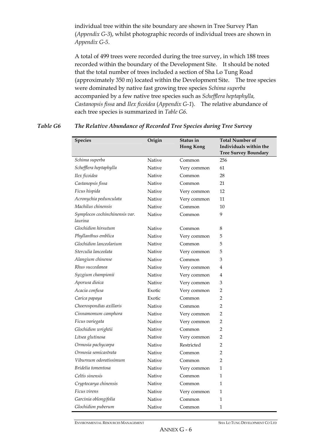individual tree within the site boundary are shown in Tree Survey Plan (*Appendix G-3*), whilst photographic records of individual trees are shown in *Appendix G-5*.

A total of 499 trees were recorded during the tree survey, in which 188 trees recorded within the boundary of the Development Site. It should be noted that the total number of trees included a section of Sha Lo Tung Road (approximately 350 m) located within the Development Site. The tree species were dominated by native fast growing tree species *Schima superba* accompanied by a few native tree species such as *Schefflera heptaphylla, Castanopsis fissa* and *Ilex ficoidea* (*Appendix G-1*). The relative abundance of each tree species is summarized in *Table G6*.

#### *Table G6 The Relative Abundance of Recorded Tree Species during Tree Survey*

| <b>Species</b>                            | Origin | Status in<br><b>Hong Kong</b> | <b>Total Number of</b><br>Individuals within the |
|-------------------------------------------|--------|-------------------------------|--------------------------------------------------|
| Schima superba                            | Native | Common                        | <b>Tree Survey Boundary</b><br>256               |
| Schefflera heptaphylla                    | Native | Very common                   | 61                                               |
| Ilex ficoidea                             | Native | Common                        | 28                                               |
| Castanopsis fissa                         | Native | Common                        | 21                                               |
| Ficus hispida                             | Native | Very common                   | 12                                               |
| Acronychia pedunculata                    | Native | Very common                   | 11                                               |
| Machilus chinensis                        | Native | Common                        | 10                                               |
| Symplocos cochinchinensis var.<br>laurina | Native | Common                        | 9                                                |
| Glochidion hirsutum                       | Native | Common                        | 8                                                |
| Phyllanthus emblica                       | Native | Very common                   | 5                                                |
| Glochidion lanceolarium                   | Native | Common                        | 5                                                |
| Sterculia lanceolata                      | Native | Very common                   | 5                                                |
| Alangium chinense                         | Native | Common                        | 3                                                |
| Rhus succedanea                           | Native | Very common                   | 4                                                |
| Syzgium championii                        | Native | Very common                   | 4                                                |
| Aporusa dioica                            | Native | Very common                   | 3                                                |
| Acacia confusa                            | Exotic | Very common                   | 2                                                |
| Carica papaya                             | Exotic | Common                        | $\overline{2}$                                   |
| Choerospondias axillaris                  | Native | Common                        | 2                                                |
| Cinnamomum camphora                       | Native | Very common                   | 2                                                |
| Ficus variegata                           | Native | Very common                   | 2                                                |
| Glochidion wrightii                       | Native | Common                        | 2                                                |
| Litsea glutinosa                          | Native | Very common                   | 2                                                |
| Ormosia pachycarpa                        | Native | Restricted                    | $\overline{2}$                                   |
| Ormosia semicastrata                      | Native | Common                        | 2                                                |
| Viburnum odoratissimum                    | Native | Common                        | 2                                                |
| Bridelia tomentosa                        | Native | Very common                   | 1                                                |
| Celtis sinensis                           | Native | Common                        | 1                                                |
| Cryptocarya chinensis                     | Native | Common                        | $\mathbf{1}$                                     |
| Ficus virens                              | Native | Very common                   | $\mathbf{1}$                                     |
| Garcinia oblongifolia                     | Native | Common                        | $\mathbf{1}$                                     |
| Glochidion puberum                        | Native | Common                        | $\mathbf{1}$                                     |

ENVIRONMENTAL RESOURCES MANAGEMENT SHA LO TUNG DEVELOPMENT CO LTD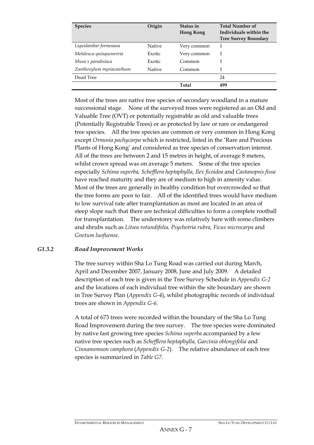| <b>Species</b>           | Origin        | Status in<br><b>Hong Kong</b> | <b>Total Number of</b><br>Individuals within the<br><b>Tree Survey Boundary</b> |
|--------------------------|---------------|-------------------------------|---------------------------------------------------------------------------------|
| Liquidambar formosana    | <b>Native</b> | Very common                   |                                                                                 |
| Melaleuca quinquenervia  | Exotic        | Very common                   |                                                                                 |
| Musa x paradisiaca       | Exotic        | Common                        |                                                                                 |
| Zanthoxylum myriacanthum | <b>Native</b> | Common                        | 1                                                                               |
| Dead Tree                |               |                               | 24                                                                              |
|                          |               | <b>Total</b>                  | 499                                                                             |

Most of the trees are native tree species of secondary woodland in a mature successional stage. None of the surveyed trees were registered as an Old and Valuable Tree (OVT) or potentially registrable as old and valuable trees (Potentially Registrable Trees) or as protected by law or rare or endangered tree species. All the tree species are common or very common in Hong Kong except *Ormosia pachycarpa* which is restricted, listed in the 'Rare and Precious Plants of Hong Kong' and considered as tree species of conservation interest. All of the trees are between 2 and 15 metres in height, of average 8 meters, whilst crown spread was on average 5 meters. Some of the tree species especially *Schima superba, Schefflera heptaphylla, Ilex ficoidea* and *Castanopsis fissa* have reached maturity and they are of medium to high in amenity value. Most of the trees are generally in healthy condition but overcrowded so that the tree forms are poor to fair. All of the identified trees would have medium to low survival rate after transplantation as most are located in an area of steep slope such that there are technical difficulties to form a complete rootball for transplantation. The understorey was relatively bare with some climbers and shrubs such as *Litsea rotundifolia, Psychotria rubra, Ficus microcarpa* and *Gnetum luofuense*.

## *G1.3.2 Road Improvement Works*

The tree survey within Sha Lo Tung Road was carried out during March, April and December 2007, January 2008, June and July 2009. A detailed description of each tree is given in the Tree Survey Schedule in *Appendix G-2* and the locations of each individual tree within the site boundary are shown in Tree Survey Plan (*Appendix G-4*), whilst photographic records of individual trees are shown in *Appendix G-6*.

A total of 673 trees were recorded within the boundary of the Sha Lo Tung Road Improvement during the tree survey. The tree species were dominated by native fast growing tree species *Schima superba* accompanied by a few native tree species such as *Schefflera heptaphylla, Garcinia oblongifolia* and *Cinnamomum camphora* (*Appendix G-2*). The relative abundance of each tree species is summarized in *Table G7*.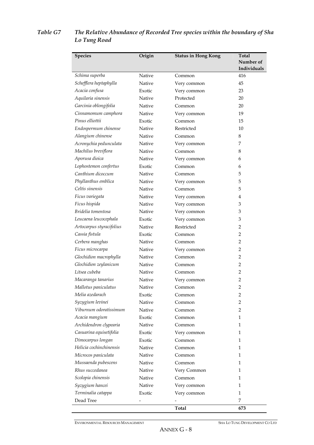| <b>Species</b>           | Origin | <b>Status in Hong Kong</b> | <b>Total</b> |
|--------------------------|--------|----------------------------|--------------|
|                          |        |                            | Number of    |
|                          |        |                            | Individuals  |
| Schima superba           | Native | Common                     | 416          |
| Schefflera heptaphylla   | Native | Very common                | 45           |
| Acacia confusa           | Exotic | Very common                | 23           |
| Aquilaria sinensis       | Native | Protected                  | 20           |
| Garcinia oblongifolia    | Native | Common                     | 20           |
| Cinnamomum camphora      | Native | Very common                | 19           |
| Pinus elliottii          | Exotic | Common                     | 15           |
| Endospermum chinense     | Native | Restricted                 | 10           |
| Alangium chinense        | Native | Common                     | 8            |
| Acronychia pedunculata   | Native | Very common                | 7            |
| Machilus breviflora      | Native | Common                     | 8            |
| Aporusa dioica           | Native | Very common                | 6            |
| Lophostemon confertus    | Exotic | Common                     | 6            |
| Canthium dicoccum        | Native | Common                     | 5            |
| Phyllanthus emblica      | Native | Very common                | 5            |
| Celtis sinensis          | Native | Common                     | 5            |
| Ficus variegata          | Native | Very common                | 4            |
| Ficus hispida            | Native | Very common                | 3            |
| Bridelia tomentosa       | Native | Very common                | 3            |
| Leucaena leucocephala    | Exotic | Very common                | 3            |
| Artocarpus styracifolius | Native | Restricted                 | 2            |
| Cassia fistula           | Exotic | Common                     | 2            |
| Cerbera manghas          | Native | Common                     | 2            |
| Ficus microcarpa         | Native | Very common                | 2            |
| Glochidion macrophylla   | Native | Common                     | 2            |
| Glochidion zeylanicum    | Native | Common                     | 2            |
| Litsea cubeba            | Native | Common                     | 2            |
| Macaranga tanarius       | Native | Very common                | 2            |
| Mallotus paniculatus     | Native | Common                     | 2            |
| Melia azedarach          | Exotic | Common                     | 2            |
| Syzygium levinei         | Native | Common                     | 2            |
| Viburnum odoratissimum   | Native | Common                     | 2            |
| Acacia mangium           | Exotic | Common                     | $\mathbf{1}$ |
| Archidendron clypearia   | Native | Common                     | 1            |
| Casuarina equisetifolia  | Exotic | Very common                | $\mathbf{1}$ |
| Dimocarpus longan        | Exotic | Common                     | $\mathbf{1}$ |
| Helicia cochinchinensis  | Native | Common                     | 1            |
| Microcos paniculata      | Native | Common                     | 1            |
| Mussaenda pubescens      | Native | Common                     | 1            |
| Rhus succedanea          | Native | Very Common                | $\mathbf{1}$ |
| Scolopia chinensis       | Native | Common                     | $\mathbf{1}$ |
| Syzygium hancei          | Native | Very common                | 1            |
| Terminalia catappa       | Exotic | Very common                | 1            |
| Dead Tree                |        |                            | 7            |
|                          |        | Total                      | 673          |

# *Table G7 The Relative Abundance of Recorded Tree species within the boundary of Sha Lo Tung Road*

ENVIRONMENTAL RESOURCES MANAGEMENT SHA LO TUNG DEVELOPMENT CO LTD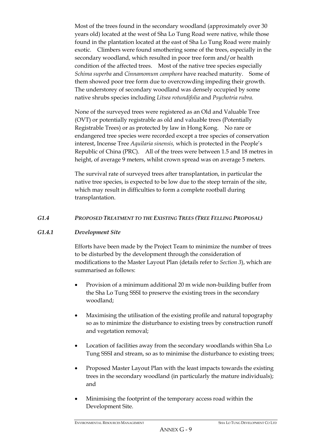Most of the trees found in the secondary woodland (approximately over 30 years old) located at the west of Sha Lo Tung Road were native, while those found in the plantation located at the east of Sha Lo Tung Road were mainly exotic. Climbers were found smothering some of the trees, especially in the secondary woodland, which resulted in poor tree form and/or health condition of the affected trees. Most of the native tree species especially *Schima superba* and *Cinnamomum camphora* have reached maturity. Some of them showed poor tree form due to overcrowding impeding their growth. The understorey of secondary woodland was densely occupied by some native shrubs species including *Litsea rotundifolia* and *Psychotria rubra.*

None of the surveyed trees were registered as an Old and Valuable Tree (OVT) or potentially registrable as old and valuable trees (Potentially Registrable Trees) or as protected by law in Hong Kong. No rare or endangered tree species were recorded except a tree species of conservation interest, Incense Tree *Aquilaria sinensis,* which is protected in the People's Republic of China (PRC). All of the trees were between 1.5 and 18 metres in height, of average 9 meters, whilst crown spread was on average 5 meters.

The survival rate of surveyed trees after transplantation, in particular the native tree species, is expected to be low due to the steep terrain of the site, which may result in difficulties to form a complete rootball during transplantation.

## *G1.4 PROPOSED TREATMENT TO THE EXISTING TREES (TREE FELLING PROPOSAL)*

## *G1.4.1 Development Site*

Efforts have been made by the Project Team to minimize the number of trees to be disturbed by the development through the consideration of modifications to the Master Layout Plan (details refer to *Section 3*), which are summarised as follows:

- Provision of a minimum additional 20 m wide non-building buffer from the Sha Lo Tung SSSI to preserve the existing trees in the secondary woodland;
- Maximising the utilisation of the existing profile and natural topography so as to minimize the disturbance to existing trees by construction runoff and vegetation removal;
- Location of facilities away from the secondary woodlands within Sha Lo Tung SSSI and stream, so as to minimise the disturbance to existing trees;
- Proposed Master Layout Plan with the least impacts towards the existing trees in the secondary woodland (in particularly the mature individuals); and
- Minimising the footprint of the temporary access road within the Development Site.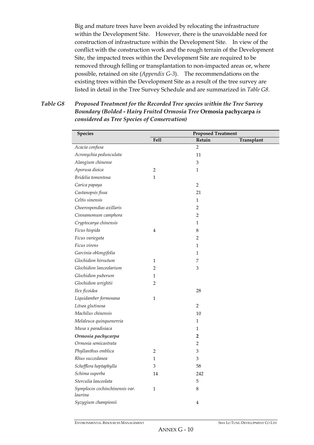Big and mature trees have been avoided by relocating the infrastructure within the Development Site. However, there is the unavoidable need for construction of infrastructure within the Development Site. In view of the conflict with the construction work and the rough terrain of the Development Site, the impacted trees within the Development Site are required to be removed through felling or transplantation to non-impacted areas or, where possible, retained on site (*Appendix G-3*). The recommendations on the existing trees within the Development Site as a result of the tree survey are listed in detail in the Tree Survey Schedule and are summarized in *Table G8*.

*Table G8 Proposed Treatment for the Recorded Tree species within the Tree Survey Boundary (Bolded - Hairy Fruited Ormosia Tree* **Ormosia pachycarpa** *is considered as Tree Species of Conservation)* 

| <b>Species</b>                            | <b>Proposed Treatment</b> |                         |            |  |
|-------------------------------------------|---------------------------|-------------------------|------------|--|
|                                           | <b>Fell</b>               | Retain                  | Transplant |  |
| Acacia confusa                            |                           | 2                       |            |  |
| Acronychia pedunculata                    |                           | 11                      |            |  |
| Alangium chinense                         |                           | $\mathfrak{B}$          |            |  |
| Aporusa dioica                            | $\overline{2}$            | $\mathbf{1}$            |            |  |
| Bridelia tomentosa                        | $\mathbf{1}$              |                         |            |  |
| Carica papaya                             |                           | $\overline{2}$          |            |  |
| Castanopsis fissa                         |                           | 21                      |            |  |
| Celtis sinensis                           |                           | $\mathbf{1}$            |            |  |
| Choerospondias axillaris                  |                           | $\overline{2}$          |            |  |
| Cinnamomum camphora                       |                           | 2                       |            |  |
| Cryptocarya chinensis                     |                           | 1                       |            |  |
| Ficus hispida                             | 4                         | 8                       |            |  |
| Ficus variegata                           |                           | 2                       |            |  |
| Ficus virens                              |                           | $\mathbf{1}$            |            |  |
| Garcinia oblongifolia                     |                           | 1                       |            |  |
| Glochidion hirsutum                       | $\mathbf{1}$              | 7                       |            |  |
| Glochidion lanceolarium                   | 2                         | 3                       |            |  |
| Glochidion puberum                        | 1                         |                         |            |  |
| Glochidion wrightii                       | $\overline{2}$            |                         |            |  |
| Ilex ficoidea                             |                           | 28                      |            |  |
| Liquidamber formosana                     | $\mathbf{1}$              |                         |            |  |
| Litsea glutinosa                          |                           | $\overline{2}$          |            |  |
| Machilus chinensis                        |                           | 10                      |            |  |
| Melaleuca quinquenervia                   |                           | $\mathbf{1}$            |            |  |
| Musa x paradisiaca                        |                           | $\mathbf{1}$            |            |  |
| Ormosia pachycarpa                        |                           | 2                       |            |  |
| Ormosia semicastrata                      |                           | 2                       |            |  |
| Phyllanthus emblica                       | 2                         | 3                       |            |  |
| Rhus succedanea                           | $\mathbf{1}$              | 3                       |            |  |
| Schefflera heptaphylla                    | 3                         | 58                      |            |  |
| Schima superba                            | 14                        | 242                     |            |  |
| Sterculia lanceolata                      |                           | 5                       |            |  |
| Symplocos cochinchinensis var.<br>laurina | $\mathbf 1$               | 8                       |            |  |
| Syzygium championii                       |                           | $\overline{\mathbf{4}}$ |            |  |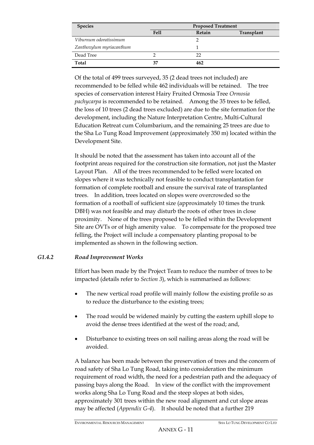| <b>Species</b>           | <b>Proposed Treatment</b> |        |            |  |
|--------------------------|---------------------------|--------|------------|--|
|                          | Fell                      | Retain | Transplant |  |
| Viburnum odoratissimum   |                           |        |            |  |
| Zanthoxylum myriacanthum |                           |        |            |  |
| Dead Tree                |                           | フフ     |            |  |
| Total                    | 37                        | 462    |            |  |

Of the total of 499 trees surveyed, 35 (2 dead trees not included) are recommended to be felled while 462 individuals will be retained. The tree species of conservation interest Hairy Fruited Ormosia Tree *Ormosia pachycarpa* is recommended to be retained. Among the 35 trees to be felled, the loss of 10 trees (2 dead trees excluded) are due to the site formation for the development, including the Nature Interpretation Centre, Multi-Cultural Education Retreat cum Columbarium, and the remaining 25 trees are due to the Sha Lo Tung Road Improvement (approximately 350 m) located within the Development Site.

It should be noted that the assessment has taken into account all of the footprint areas required for the construction site formation, not just the Master Layout Plan. All of the trees recommended to be felled were located on slopes where it was technically not feasible to conduct transplantation for formation of complete rootball and ensure the survival rate of transplanted trees. In addition, trees located on slopes were overcrowded so the formation of a rootball of sufficient size (approximately 10 times the trunk DBH) was not feasible and may disturb the roots of other trees in close proximity. None of the trees proposed to be felled within the Development Site are OVTs or of high amenity value. To compensate for the proposed tree felling, the Project will include a compensatory planting proposal to be implemented as shown in the following section.

## *G1.4.2 Road Improvement Works*

Effort has been made by the Project Team to reduce the number of trees to be impacted (details refer to *Section 3*), which is summarised as follows:

- The new vertical road profile will mainly follow the existing profile so as to reduce the disturbance to the existing trees;
- The road would be widened mainly by cutting the eastern uphill slope to avoid the dense trees identified at the west of the road; and,
- Disturbance to existing trees on soil nailing areas along the road will be avoided.

A balance has been made between the preservation of trees and the concern of road safety of Sha Lo Tung Road, taking into consideration the minimum requirement of road width, the need for a pedestrian path and the adequacy of passing bays along the Road. In view of the conflict with the improvement works along Sha Lo Tung Road and the steep slopes at both sides, approximately 301 trees within the new road alignment and cut slope areas may be affected (*Appendix G-4*). It should be noted that a further 219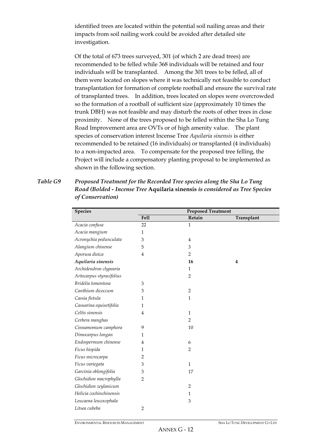identified trees are located within the potential soil nailing areas and their impacts from soil nailing work could be avoided after detailed site investigation.

Of the total of 673 trees surveyed, 301 (of which 2 are dead trees) are recommended to be felled while 368 individuals will be retained and four individuals will be transplanted. Among the 301 trees to be felled, all of them were located on slopes where it was technically not feasible to conduct transplantation for formation of complete rootball and ensure the survival rate of transplanted trees. In addition, trees located on slopes were overcrowded so the formation of a rootball of sufficient size (approximately 10 times the trunk DBH) was not feasible and may disturb the roots of other trees in close proximity. None of the trees proposed to be felled within the Sha Lo Tung Road Improvement area are OVTs or of high amenity value. The plant species of conservation interest Incense Tree *Aquilaria sinensis* is either recommended to be retained (16 individuals) or transplanted (4 individuals) to a non-impacted area. To compensate for the proposed tree felling, the Project will include a compensatory planting proposal to be implemented as shown in the following section.

*Table G9 Proposed Treatment for the Recorded Tree species along the Sha Lo Tung Road (Bolded - Incense Tree* **Aquilaria sinensis** *is considered as Tree Species of Conservation)* 

| <b>Species</b>           |                | <b>Proposed Treatment</b> |            |
|--------------------------|----------------|---------------------------|------------|
|                          | <b>Fell</b>    | Retain                    | Transplant |
| Acacia confusa           | 22             | $\mathbf{1}$              |            |
| Acacia mangium           | 1              |                           |            |
| Acronychia pedunculata   | 3              | $\overline{4}$            |            |
| Alangium chinense        | 5              | 3                         |            |
| Aporusa dioica           | $\overline{4}$ | $\overline{2}$            |            |
| Aquilaria sinensis       |                | 16                        | 4          |
| Archidendron clypearia   |                | $\mathbf{1}$              |            |
| Artocarpus styracifolius |                | $\overline{2}$            |            |
| Bridelia tomentosa       | 3              |                           |            |
| Canthium dicoccum        | 3              | $\overline{2}$            |            |
| Cassia fistula           | 1              | $\mathbf{1}$              |            |
| Casuarina equisetifolia  | 1              |                           |            |
| Celtis sinensis          | $\overline{4}$ | $\mathbf{1}$              |            |
| Cerbera manghas          |                | $\overline{2}$            |            |
| Cinnamomum camphora      | 9              | 10                        |            |
| Dimocarpus longan        | 1              |                           |            |
| Endospermum chinense     | 4              | 6                         |            |
| Ficus hispida            | 1              | $\overline{2}$            |            |
| Ficus microcarpa         | 2              |                           |            |
| Ficus variegata          | 3              | $\mathbf{1}$              |            |
| Garcinia oblongifolia    | 3              | 17                        |            |
| Glochidion macrophylla   | $\overline{2}$ |                           |            |
| Glochidion zeylanicum    |                | $\overline{2}$            |            |
| Helicia cochinchinensis  |                | $\mathbf{1}$              |            |
| Leucaena leucocephala    |                | 3                         |            |
| Litsea cubeba            | $\overline{2}$ |                           |            |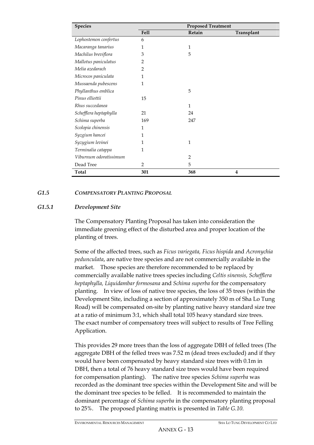| <b>Species</b>         | <b>Proposed Treatment</b> |                |            |
|------------------------|---------------------------|----------------|------------|
|                        | <b>Fell</b>               | Retain         | Transplant |
| Lophostemon confertus  | 6                         |                |            |
| Macaranga tanarius     | 1                         | 1              |            |
| Machilus breviflora    | 3                         | 5              |            |
| Mallotus paniculatus   | 2                         |                |            |
| Melia azedarach        | $\overline{2}$            |                |            |
| Microcos paniculata    | 1                         |                |            |
| Mussaenda pubescens    | 1                         |                |            |
| Phyllanthus emblica    |                           | 5              |            |
| Pinus elliottii        | 15                        |                |            |
| Rhus succedanea        |                           | 1              |            |
| Schefflera heptaphylla | 21                        | 24             |            |
| Schima superba         | 169                       | 247            |            |
| Scolopia chinensis     | 1                         |                |            |
| Syzgium hancei         | 1                         |                |            |
| Syzygium levinei       | 1                         | $\mathbf{1}$   |            |
| Terminalia catappa     | 1                         |                |            |
| Viburnum odoratissimum |                           | $\overline{2}$ |            |
| Dead Tree              | $\overline{2}$            | 5              |            |
| Total                  | 301                       | 368            | 4          |

#### *G1.5 COMPENSATORY PLANTING PROPOSAL*

#### *G1.5.1 Development Site*

The Compensatory Planting Proposal has taken into consideration the immediate greening effect of the disturbed area and proper location of the planting of trees.

Some of the affected trees, such as *Ficus variegata, Ficus hispida* and *Acronychia pedunculata*, are native tree species and are not commercially available in the market. Those species are therefore recommended to be replaced by commercially available native trees species including *Celtis sinensis, Schefflera heptaphylla, Liquidambar formosana* and *Schima superba* for the compensatory planting. In view of loss of native tree species, the loss of 35 trees (within the Development Site, including a section of approximately 350 m of Sha Lo Tung Road) will be compensated on-site by planting native heavy standard size tree at a ratio of minimum 3:1, which shall total 105 heavy standard size trees. The exact number of compensatory trees will subject to results of Tree Felling Application.

This provides 29 more trees than the loss of aggregate DBH of felled trees (The aggregate DBH of the felled trees was 7.52 m (dead trees excluded) and if they would have been compensated by heavy standard size trees with 0.1m in DBH, then a total of 76 heavy standard size trees would have been required for compensation planting). The native tree species *Schima superba* was recorded as the dominant tree species within the Development Site and will be the dominant tree species to be felled. It is recommended to maintain the dominant percentage of *Schima superba* in the compensatory planting proposal to 25%. The proposed planting matrix is presented in *Table G.10*.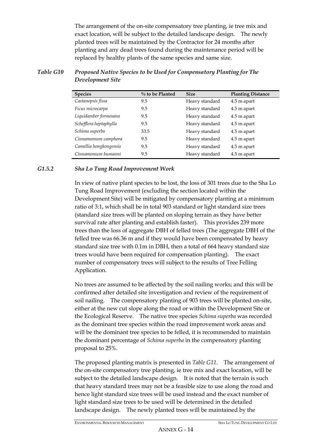The arrangement of the on-site compensatory tree planting, ie tree mix and exact location, will be subject to the detailed landscape design. The newly planted trees will be maintained by the Contractor for 24 months after planting and any dead trees found during the maintenance period will be replaced by healthy plants of the same species and same size.

| <b>Species</b>         | $\%$ to be Planted | <b>Size</b>    | <b>Planting Distance</b> |
|------------------------|--------------------|----------------|--------------------------|
| Castanopsis fissa      | 9.5                | Heavy standard | 4.5 m apart              |
| Ficus microcarpa       | 9.5                | Heavy standard | 4.5 m apart              |
| Liquidamber formosana  | 9.5                | Heavy standard | 4.5 m apart              |
| Schefflera heptaphylla | 9.5                | Heavy standard | 4.5 m apart              |
| Schima superba         | 33.5               | Heavy standard | 4.5 m apart              |
| Cinnamomum camphora    | 9.5                | Heavy standard | 4.5 m apart              |
| Camellia hongkongensis | 9.5                | Heavy standard | 4.5 m apart              |
| Cinnamomum bumanni     | 9.5                | Heavy standard | 4.5 m apart              |

#### *Table G10 Proposed Native Species to be Used for Compensatory Planting for The Development Site*

## *G1.5.2 Sha Lo Tung Road Improvement Work*

In view of native plant species to be lost, the loss of 301 trees due to the Sha Lo Tung Road Improvement (excluding the section located within the Development Site) will be mitigated by compensatory planting at a minimum ratio of 3:1, which shall be in total 903 standard or light standard size trees (standard size trees will be planted on sloping terrain as they have better survival rate after planting and establish faster). This provides 239 more trees than the loss of aggregate DBH of felled trees (The aggregate DBH of the felled tree was 66.36 m and if they would have been compensated by heavy standard size tree with 0.1m in DBH, then a total of 664 heavy standard size trees would have been required for compensation planting). The exact number of compensatory trees will subject to the results of Tree Felling Application.

No trees are assumed to be affected by the soil nailing works; and this will be confirmed after detailed site investigation and review of the requirement of soil nailing. The compensatory planting of 903 trees will be planted on-site, either at the new cut slope along the road or within the Development Site or the Ecological Reserve. The native tree species *Schima superba* was recorded as the dominant tree species within the road improvement work areas and will be the dominant tree species to be felled, it is recommended to maintain the dominant percentage of *Schima superba* in the compensatory planting proposal to 25%.

The proposed planting matrix is presented in *Table G11*. The arrangement of the on-site compensatory tree planting, ie tree mix and exact location, will be subject to the detailed landscape design. It is noted that the terrain is such that heavy standard trees may not be a feasible size to use along the road and hence light standard size trees will be used instead and the exact number of light standard size trees to be used will be determined in the detailed landscape design. The newly planted trees will be maintained by the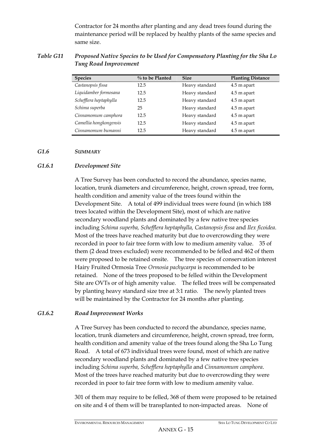Contractor for 24 months after planting and any dead trees found during the maintenance period will be replaced by healthy plants of the same species and same size.

# *Table G11 Proposed Native Species to be Used for Compensatory Planting for the Sha Lo Tung Road Improvement*

| <b>Species</b>         | $\%$ to be Planted | <b>Size</b>    | <b>Planting Distance</b> |
|------------------------|--------------------|----------------|--------------------------|
| Castanopsis fissa      | 12.5               | Heavy standard | 4.5 m apart              |
| Liquidamber formosana  | 12.5               | Heavy standard | 4.5 m apart              |
| Schefflera heptaphylla | 12.5               | Heavy standard | 4.5 m apart              |
| Schima superba         | 25                 | Heavy standard | 4.5 m apart              |
| Cinnamomum camphora    | 12.5               | Heavy standard | 4.5 m apart              |
| Camellia hongkongensis | 12.5               | Heavy standard | 4.5 m apart              |
| Cinnamomum bumanni     | 12.5               | Heavy standard | 4.5 m apart              |

#### *G1.6 SUMMARY*

## *G1.6.1 Development Site*

A Tree Survey has been conducted to record the abundance, species name, location, trunk diameters and circumference, height, crown spread, tree form, health condition and amenity value of the trees found within the Development Site. A total of 499 individual trees were found (in which 188 trees located within the Development Site), most of which are native secondary woodland plants and dominated by a few native tree species including *Schima superba, Schefflera heptaphylla, Castanopsis fissa* and *Ilex ficoidea*. Most of the trees have reached maturity but due to overcrowding they were recorded in poor to fair tree form with low to medium amenity value. 35 of them (2 dead trees excluded) were recommended to be felled and 462 of them were proposed to be retained onsite. The tree species of conservation interest Hairy Fruited Ormosia Tree *Ormosia pachycarpa* is recommended to be retained. None of the trees proposed to be felled within the Development Site are OVTs or of high amenity value. The felled trees will be compensated by planting heavy standard size tree at 3:1 ratio. The newly planted trees will be maintained by the Contractor for 24 months after planting.

## *G1.6.2 Road Improvement Works*

A Tree Survey has been conducted to record the abundance, species name, location, trunk diameters and circumference, height, crown spread, tree form, health condition and amenity value of the trees found along the Sha Lo Tung Road. A total of 673 individual trees were found, most of which are native secondary woodland plants and dominated by a few native tree species including *Schima superba, Schefflera heptaphylla* and *Cinnamomum camphora*. Most of the trees have reached maturity but due to overcrowding they were recorded in poor to fair tree form with low to medium amenity value.

301 of them may require to be felled, 368 of them were proposed to be retained on site and 4 of them will be transplanted to non-impacted areas. None of